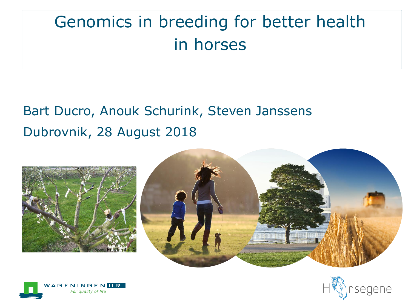# Genomics in breeding for better health in horses

#### Bart Ducro, Anouk Schurink, Steven Janssens Dubrovnik, 28 August 2018







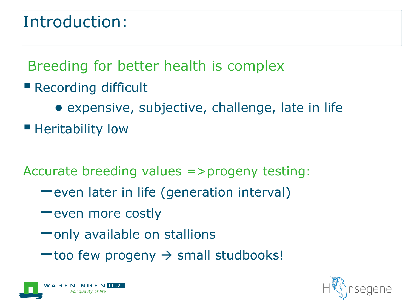## Introduction:

Breeding for better health is complex

- Recording difficult
	- expensive, subjective, challenge, late in life
- **E** Heritability low

Accurate breeding values =>progeny testing:

- −even later in life (generation interval)
- −even more costly
- −only available on stallions
- −too few progeny → small studbooks!



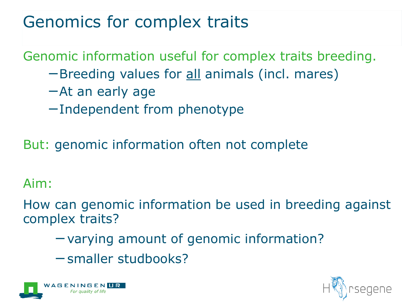# Genomics for complex traits

Genomic information useful for complex traits breeding.

- −Breeding values for all animals (incl. mares)
- −At an early age
- −Independent from phenotype

But: genomic information often not complete

#### Aim:

How can genomic information be used in breeding against complex traits?

- −varying amount of genomic information?
- −smaller studbooks?



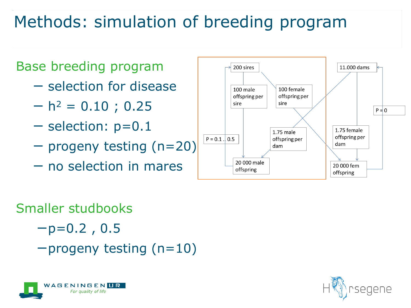# Methods: simulation of breeding program



#### Smaller studbooks

$$
-p=0.2
$$
, 0.5

−progeny testing (n=10)



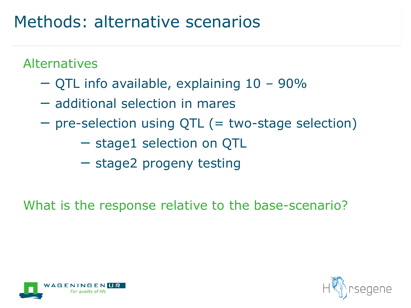## Methods: alternative scenarios

Alternatives

- − QTL info available, explaining 10 90%
- − additional selection in mares
- − pre-selection using QTL (= two-stage selection)
	- − stage1 selection on QTL
	- − stage2 progeny testing

What is the response relative to the base-scenario?



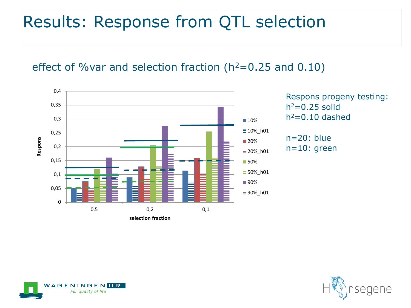## Results: Response from QTL selection

effect of %var and selection fraction ( $h^2$ =0.25 and 0.10)





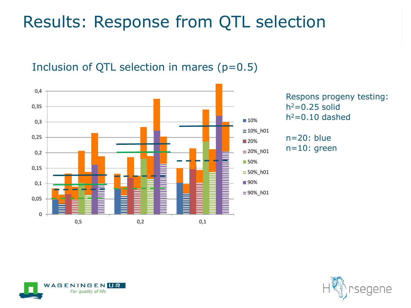# Results: Response from QTL selection

#### Inclusion of QTL selection in mares  $(p=0.5)$



Respons progeny testing:  $h^2=0.25$  solid  $h^2=0.10$  dashed





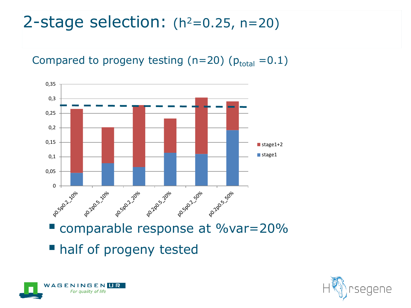### 2-stage selection:  $(h^2=0.25, n=20)$





■ half of progeny tested



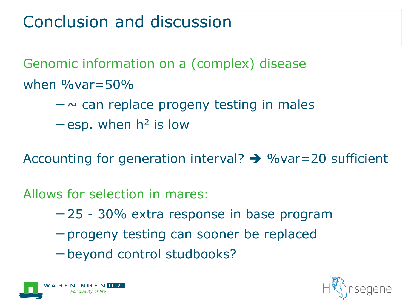# Conclusion and discussion

Genomic information on a (complex) disease when  $\%$  var  $=$  50 $\%$ 

- −~ can replace progeny testing in males
- $-$ esp. when  $h^2$  is low

Accounting for generation interval?  $\rightarrow$  % var = 20 sufficient

Allows for selection in mares:

- −25 30% extra response in base program
- −progeny testing can sooner be replaced
- −beyond control studbooks?



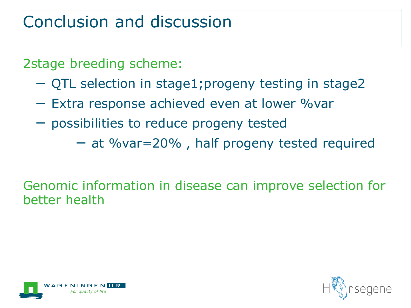# Conclusion and discussion

2stage breeding scheme:

- − QTL selection in stage1;progeny testing in stage2
- − Extra response achieved even at lower %var
- − possibilities to reduce progeny tested

− at %var=20% , half progeny tested required

#### Genomic information in disease can improve selection for better health